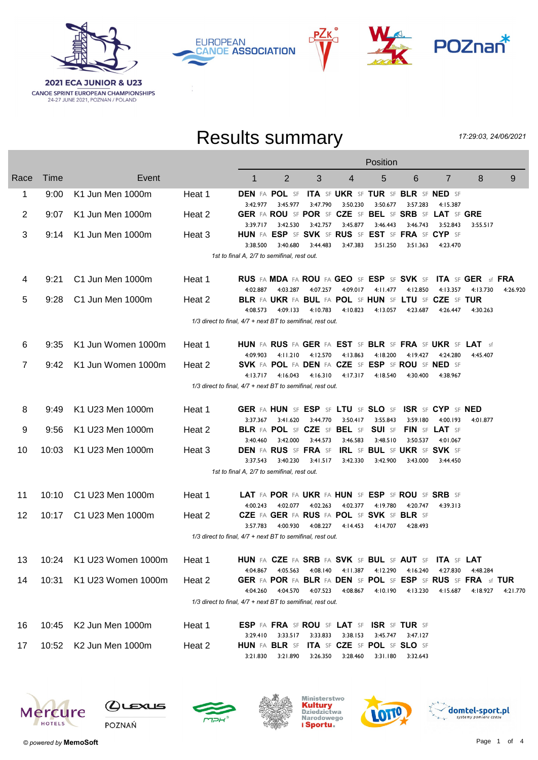

**EUROPEAN CANOE ASSOCIATION** 



## Results summary

РΖк

17:29:03, 24/06/2021

|      |       |                             |        | Position                                                                                                                                                            |
|------|-------|-----------------------------|--------|---------------------------------------------------------------------------------------------------------------------------------------------------------------------|
| Race | Time  | Event                       |        | $\overline{2}$<br>3<br>5<br>6<br>$\overline{7}$<br>8<br>9<br>1<br>4                                                                                                 |
| 1    | 9:00  | K1 Jun Men 1000m            | Heat 1 | <b>DEN FA POL SF</b><br><b>ITA SF UKR SF TUR SF BLR SF NED SF</b><br>3:47.790<br>3:50.230<br>3:50.677<br>3:42.977<br>3:45.977<br>3:57.283<br>4:15.387               |
| 2    | 9:07  | K1 Jun Men 1000m            | Heat 2 | GER FA ROU SF POR SF CZE SF BEL SF SRB SF LAT SF GRE<br>3:42.757 3:45.877<br>3:46.443<br>$3:39.717$ $3:42.530$<br>3:46.743<br>3:52.843<br>3:55.517                  |
| 3    | 9:14  | K1 Jun Men 1000m            | Heat 3 | HUN FA ESP SF SVK SF RUS SF EST SF FRA SF CYP SF                                                                                                                    |
|      |       |                             |        | 3:40.680<br>3:44.483<br>3:47.383<br>3:51.250<br>3:38.500<br>3:51.363<br>4:23.470<br>1st to final A, 2/7 to semifinal, rest out.                                     |
| 4    | 9:21  | C1 Jun Men 1000m            | Heat 1 | RUS FA MDA FA ROU FA GEO SF ESP SF SVK SF ITA SF GER sf FRA                                                                                                         |
| 5    | 9:28  | C1 Jun Men 1000m            | Heat 2 | 4:03.287<br>4:07.257<br>4:09.017<br>4:11.477 4:12.850<br>4:13.357<br>4:02.887<br>4:13.730<br>4:26.920<br>BLR FA UKR FA BUL FA POL SF HUN SF LTU SF CZE SF TUR       |
|      |       |                             |        | 4:09.133<br>4:10.783<br>4:10.823<br>4:13.057<br>4:08.573<br>4:23.687<br>4:26.447<br>4:30.263                                                                        |
|      |       |                             |        | 1/3 direct to final, 4/7 + next BT to semifinal, rest out.                                                                                                          |
| 6    | 9:35  | K1 Jun Women 1000m          | Heat 1 | HUN FA RUS FA GER FA EST SF BLR SF FRA SF UKR SF LAT sf                                                                                                             |
| 7    | 9:42  | K1 Jun Women 1000m          | Heat 2 | 4:11.210 4:12.570<br>4:13.863<br>4:18.200<br>4:19.427<br>4:24.280<br>4:09.903<br>4:45.407<br>SVK FA POL FA DEN FA CZE SF ESP SF ROU SF NED SF                       |
|      |       |                             |        | 4:16.310<br>4:17.317<br>$4:13.717$ $4:16.043$<br>4:18.540<br>4:30.400<br>4:38.967                                                                                   |
|      |       |                             |        | 1/3 direct to final, 4/7 + next BT to semifinal, rest out.                                                                                                          |
| 8    | 9:49  | K1 U23 Men 1000m            | Heat 1 | GER FA HUN SF ESP SF LTU SF SLO SF ISR SF CYP SF NED                                                                                                                |
|      |       |                             |        | 3:50.417<br>3:37.367 3:41.620<br>3:44.770<br>3:55.843<br>3:59.180<br>4:00.193<br>4:01.877                                                                           |
| 9    | 9:56  | K1 U23 Men 1000m            | Heat 2 | BLR FA POL SF CZE SF BEL SF SUI SF<br>FIN SF LAT SF<br>3:40.460<br>3:42.000<br>3:44.573<br>3:46.583<br>3:48.510<br>3:50.537<br>4:01.067                             |
| 10   | 10:03 | K1 U23 Men 1000m            | Heat 3 | <b>DEN FA RUS SF FRA SF</b><br><b>IRL</b> SF <b>BUL</b> SF UKR SF SVK SF<br>3:37.543<br>3:40.230<br>3:41.517<br>3:42.330<br>3:42.900<br>3:43.000<br>3:44.450        |
|      |       |                             |        | 1st to final A, 2/7 to semifinal, rest out.                                                                                                                         |
| 11   | 10:10 | C1 U23 Men 1000m            | Heat 1 | LAT FA POR FA UKR FA HUN SF ESP SF ROU SF SRB SF                                                                                                                    |
|      |       |                             |        | 4:00.243<br>4:02.077<br>4:02.263<br>4:02.377<br>4:19.780<br>4:20.747<br>4:39.313                                                                                    |
| 12   | 10:17 | C1 U23 Men 1000m            | Heat 2 | CZE FA GER FA RUS FA POL SF SVK SF BLR SF                                                                                                                           |
|      |       |                             |        | 3:57.783<br>4:00.930<br>4:08.227<br>4:14.453<br>4:14.707<br>4:28.493<br>1/3 direct to final, 4/7 + next BT to semifinal, rest out.                                  |
|      |       |                             |        |                                                                                                                                                                     |
|      |       | 13 10:24 K1 U23 Women 1000m | Heat 1 | HUN FA CZE FA SRB FA SVK SF BUL SF AUT SF ITA SF LAT<br>4:05.563<br>4:08.140<br>4:11.387<br>4:12.290<br>4:16.240<br>4:27.830<br>4:48.284<br>4:04.867                |
| 14   | 10:31 | K1 U23 Women 1000m          | Heat 2 | GER FA POR FA BLR FA DEN SF POL SF ESP SF RUS SF FRA sf TUR                                                                                                         |
|      |       |                             |        | 4:04.260<br>4:04.570<br>4:10.190 4:13.230<br>4:07.523<br>4:08.867<br>4:15.687<br>4:18.927<br>4:21.770<br>1/3 direct to final, 4/7 + next BT to semifinal, rest out. |
|      |       |                             |        |                                                                                                                                                                     |
| 16   | 10:45 | K2 Jun Men 1000m            | Heat 1 | <b>ESP FA FRA SF ROU SF LAT SF ISR SF TUR SF</b><br>3:33.517<br>3:33.833<br>3:38.153<br>3:45.747<br>3:29.410<br>3:47.127                                            |
| 17   | 10:52 | K2 Jun Men 1000m            | Heat 2 | <b>HUN FA BLR SF</b><br>ITA SF CZE SF POL SF SLO SF                                                                                                                 |
|      |       |                             |        | 3:21.830<br>3:21.890<br>3:26.350<br>3:28.460<br>3:31.180<br>3:32.643                                                                                                |













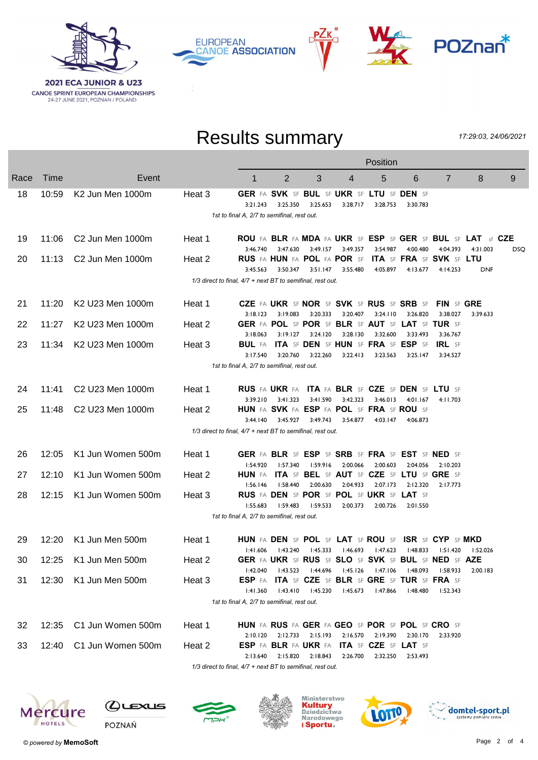

**CANOE SPRINT EUROPEAN CHAMPIONSHIPS**<br>24-27 JUNE 2021, POZNAN / POLAND





## Results summary

17:29:03, 24/06/2021

|      |       |                                          |                                                            | Position                                              |                                    |                   |          |                                                       |                   |                                                                  |            |      |
|------|-------|------------------------------------------|------------------------------------------------------------|-------------------------------------------------------|------------------------------------|-------------------|----------|-------------------------------------------------------|-------------------|------------------------------------------------------------------|------------|------|
| Race | Time  | Event                                    |                                                            | 1                                                     | 2                                  | 3                 | 4        | 5                                                     | 6                 | $\overline{7}$                                                   | 8          | 9    |
| 18   | 10:59 | K <sub>2</sub> Jun Men 1000m             | Heat 3                                                     | GER FA SVK SF BUL SF UKR SF LTU SF DEN SF             |                                    |                   |          |                                                       |                   |                                                                  |            |      |
|      |       |                                          |                                                            | 3:21.243                                              | 3:25.350                           | 3:25.653          | 3:28.717 | 3:28.753                                              | 3:30.783          |                                                                  |            |      |
|      |       |                                          |                                                            | 1st to final A, 2/7 to semifinal, rest out.           |                                    |                   |          |                                                       |                   |                                                                  |            |      |
| 19   | 11:06 | C <sub>2</sub> Jun Men 1000m             | Heat 1                                                     |                                                       |                                    |                   |          |                                                       |                   | ROU FA BLR FA MDA FA UKR SF ESP SF GER SF BUL SF LAT sf CZE      |            |      |
|      |       |                                          |                                                            | 3:46.740                                              | 3:47.630                           | 3:49.157          | 3:49.357 | 3:54.987                                              | 4:00.480          | 4:04.393                                                         | 4:31.003   | DSQ. |
| 20   | 11:13 | C <sub>2</sub> Jun Men 1000m             | Heat 2                                                     |                                                       | <b>RUS FA HUN FA POL FA POR SF</b> |                   |          |                                                       |                   | <b>ITA SF FRA SF SVK SF LTU</b>                                  |            |      |
|      |       |                                          |                                                            | 3:45.563                                              |                                    | 3:50.347 3:51.147 | 3:55.480 |                                                       | 4:05.897 4:13.677 | 4:14.253                                                         | <b>DNF</b> |      |
|      |       |                                          | 1/3 direct to final, 4/7 + next BT to semifinal, rest out. |                                                       |                                    |                   |          |                                                       |                   |                                                                  |            |      |
| 21   | 11:20 | K2 U23 Men 1000m                         | Heat 1                                                     |                                                       |                                    |                   |          | CZE FA UKR SF NOR SF SVK SF RUS SF SRB SF             |                   | FIN SF GRE                                                       |            |      |
|      |       |                                          |                                                            | 3:18.123                                              | 3:19.083                           | 3:20.333          | 3:20.407 | 3:24.110                                              | 3:26.820          | 3:38.027                                                         | 3:39.633   |      |
| 22   | 11:27 | K <sub>2</sub> U <sub>23</sub> Men 1000m | Heat 2                                                     |                                                       |                                    |                   |          | GER FA POL SF POR SF BLR SF AUT SF LAT SF TUR SF      |                   |                                                                  |            |      |
| 23   | 11:34 | K2 U23 Men 1000m                         | Heat 3                                                     | 3:18.063<br>BUL FA                                    |                                    | 3:19.127 3:24.120 | 3:28.130 | 3:32.600<br>ITA SF DEN SF HUN SF FRA SF ESP SF        | 3:33.493          | 3:36.767<br><b>IRL</b> SF                                        |            |      |
|      |       |                                          |                                                            | 3:17.540                                              | 3:20.760                           | 3:22.260          | 3:22.413 | 3:23.563                                              | 3:25.147          | 3:34.527                                                         |            |      |
|      |       |                                          |                                                            | 1st to final A, 2/7 to semifinal, rest out.           |                                    |                   |          |                                                       |                   |                                                                  |            |      |
|      |       |                                          |                                                            |                                                       |                                    |                   |          |                                                       |                   |                                                                  |            |      |
| 24   | 11:41 | C2 U23 Men 1000m                         | Heat 1                                                     |                                                       |                                    |                   |          | RUS FA UKR FA ITA FA BLR SF CZE SF DEN SF LTU SF      |                   |                                                                  |            |      |
|      |       |                                          |                                                            | 3:39.210                                              | 3:41.323                           | 3:41.590          | 3:42.323 | 3:46.013                                              | 4:01.167          | 4:11.703                                                         |            |      |
| 25   | 11:48 | C2 U23 Men 1000m                         | Heat 2                                                     | HUN FA SVK FA ESP FA POL SF FRA SF ROU SF<br>3:44.140 | 3:45.927                           | 3:49.743          | 3:54.877 | 4:03.147                                              | 4:06.873          |                                                                  |            |      |
|      |       |                                          | 1/3 direct to final, 4/7 + next BT to semifinal, rest out. |                                                       |                                    |                   |          |                                                       |                   |                                                                  |            |      |
|      |       |                                          |                                                            |                                                       |                                    |                   |          |                                                       |                   |                                                                  |            |      |
| 26   | 12:05 | K1 Jun Women 500m                        | Heat 1                                                     |                                                       |                                    |                   |          | GER FA BLR SF ESP SF SRB SF FRA SF EST SF NED SF      |                   |                                                                  |            |      |
|      |       |                                          |                                                            | 1:54.920                                              | 1:57.340                           | 1:59.916          | 2:00.066 | 2:00.603                                              | 2:04.056          | 2:10.203                                                         |            |      |
| 27   | 12:10 | K1 Jun Women 500m                        | Heat 2                                                     | <b>HUN</b> FA                                         |                                    |                   |          | ITA SF BEL SF AUT SF CZE SF LTU SF GRE SF             |                   |                                                                  |            |      |
| 28   | 12:15 | K1 Jun Women 500m                        | Heat 3                                                     | 1:56.146                                              | 1:58.440                           | 2:00.630          | 2:04.933 | 2:07.173<br>RUS FA DEN SF POR SF POL SF UKR SF LAT SF | 2:12.320          | 2:17.773                                                         |            |      |
|      |       |                                          |                                                            | I:55.683                                              | 1:59.483                           | l:59.533          | 2:00.373 | 2:00.726                                              | 2:01.550          |                                                                  |            |      |
|      |       |                                          |                                                            | 1st to final A, 2/7 to semifinal, rest out.           |                                    |                   |          |                                                       |                   |                                                                  |            |      |
|      |       |                                          |                                                            |                                                       |                                    |                   |          |                                                       |                   |                                                                  |            |      |
| 29   | 12:20 | K1 Jun Men 500m                          | Heat 1                                                     |                                                       |                                    |                   |          |                                                       |                   | HUN FA DEN SF POL SF LAT SF ROU SF ISR SF CYP SF MKD             |            |      |
|      |       |                                          |                                                            | 1:41.606                                              | l:43.240                           |                   |          | l:45.333 l:46.693 l:47.623                            |                   | $1:48.833$ $1:51.420$ $1:52.026$                                 |            |      |
| 30   |       | 12:25 K1 Jun Men 500m                    | Heat 2                                                     | l:42.040                                              | l:43.523                           | l:44.696          | l:45.126 | l:47.106                                              | l:48.093          | GER FA UKR SF RUS SF SLO SF SVK SF BUL SF NED SF AZE<br>l:58.933 | 2:00.183   |      |
| 31   | 12:30 | K1 Jun Men 500m                          | Heat 3                                                     | ESP FA                                                |                                    |                   |          | ITA SF CZE SF BLR SF GRE SF TUR SF FRA SF             |                   |                                                                  |            |      |
|      |       |                                          |                                                            | 1:41.360                                              | 1:43.410                           | l:45.230          | 1:45.673 | l:47.866                                              | 1:48.480          | 1:52.343                                                         |            |      |
|      |       |                                          |                                                            | 1st to final A, 2/7 to semifinal, rest out.           |                                    |                   |          |                                                       |                   |                                                                  |            |      |
|      | 12:35 | C1 Jun Women 500m                        |                                                            |                                                       |                                    |                   |          | HUN FA RUS FA GER FA GEO SF POR SF POL SF CRO SF      |                   |                                                                  |            |      |
| 32   |       |                                          | Heat 1                                                     | 2:10.120                                              |                                    | 2:12.733 2:15.193 | 2:16.570 | 2:19.390                                              | 2:30.170          | 2:33.920                                                         |            |      |
| 33   | 12:40 | C1 Jun Women 500m                        | Heat 2                                                     |                                                       | <b>ESP FA BLR FA UKR FA</b>        |                   |          | <b>ITA SF CZE SF LAT SF</b>                           |                   |                                                                  |            |      |
|      |       |                                          |                                                            | 2:13.640                                              | 2:15.820                           | 2:18.843          | 2:26.700 | 2:32.250                                              | 2:53.493          |                                                                  |            |      |
|      |       |                                          | 1/3 direct to final, 4/7 + next BT to semifinal, rest out. |                                                       |                                    |                   |          |                                                       |                   |                                                                  |            |      |













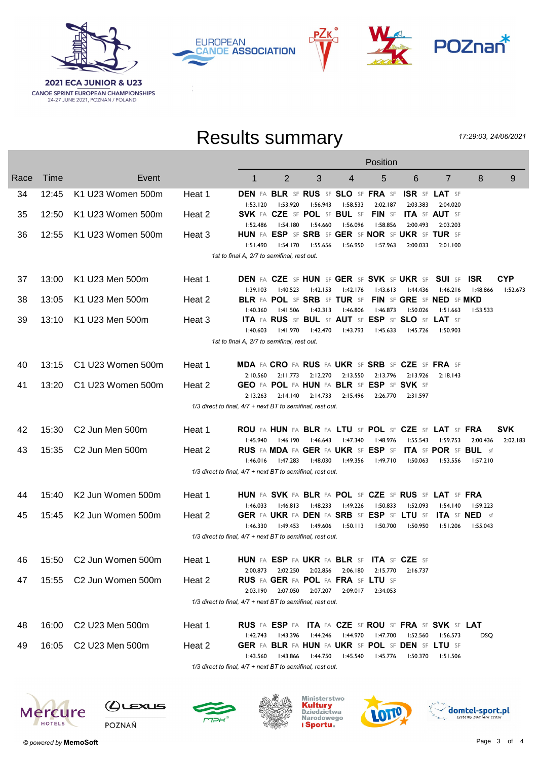

**EUROPEAN CANOE ASSOCIATION** 



## Results summary

РΖк

17:29:03, 24/06/2021

|      | Position    |                             |        |                                                                                                                                                            |  |  |  |
|------|-------------|-----------------------------|--------|------------------------------------------------------------------------------------------------------------------------------------------------------------|--|--|--|
| Race | <b>Time</b> | Event                       |        | 5<br>2<br>3<br>8<br>9<br>1<br>4<br>6<br>$\overline{7}$                                                                                                     |  |  |  |
| 34   | 12:45       | K1 U23 Women 500m           | Heat 1 | DEN FA BLR SF RUS SF SLO SF FRA SF<br><b>ISR SF LAT SF</b><br>2:02.187<br>2:03.383<br>1:53.920<br>1:56.943<br>1:58.533<br>2:04.020<br>1:53.120             |  |  |  |
| 35   | 12:50       | K1 U23 Women 500m           | Heat 2 | SVK FA CZE SF POL SF BUL SF FIN SF<br><b>ITA SF AUT SF</b>                                                                                                 |  |  |  |
| 36   | 12:55       | K1 U23 Women 500m           | Heat 3 | 1:54.180<br>l:54.660<br>l:56.096<br>1:58.856<br>2:00.493<br>1:52.486<br>2:03.203<br>HUN FA ESP SF SRB SF GER SF NOR SF UKR SF TUR SF                       |  |  |  |
|      |             |                             |        | l:54.170<br>l:55.656<br>1:56.950<br>I:57.963<br>1:51.490<br>2:00.033<br>2:01.100<br>1st to final A, 2/7 to semifinal, rest out.                            |  |  |  |
| 37   | 13:00       | K1 U23 Men 500m             | Heat 1 | <b>DEN FA CZE SF HUN SF GER SF SVK SF UKR SF SUI SF ISR</b><br><b>CYP</b>                                                                                  |  |  |  |
|      |             |                             |        | 1:40.523<br>1:42.153<br>1:42.176<br>1:43.613<br>l:44.436<br>1:46.216<br>1:39.103<br>1:48.866<br>I:52.673                                                   |  |  |  |
| 38   | 13:05       | K1 U23 Men 500m             | Heat 2 | BLR FA POL SF SRB SF TUR SF<br>FIN SF GRE SF NED SF MKD                                                                                                    |  |  |  |
|      | 13:10       | K1 U23 Men 500m             |        | l:41.506<br>1:42.313<br>l:46.806<br>l:46.873<br>l:50.026<br>1:51.663<br>1:40.360<br>1:53.533<br>ITA FA RUS SF BUL SF AUT SF ESP SF SLO SF LAT SF           |  |  |  |
| 39   |             |                             | Heat 3 | 1:41.970<br>l:42.470<br>l:43.793<br>1:45.633<br>1:40.603<br>l:45.726<br>1:50.903                                                                           |  |  |  |
|      |             |                             |        | 1st to final A, 2/7 to semifinal, rest out.                                                                                                                |  |  |  |
| 40   | 13:15       | C1 U23 Women 500m           | Heat 1 | MDA FA CRO FA RUS FA UKR SF SRB SF CZE SF FRA SF                                                                                                           |  |  |  |
|      |             |                             |        | 2:10.560 2:11.773 2:12.270 2:13.550<br>2:13.796<br>2:13.926<br>2:18.143                                                                                    |  |  |  |
| 41   | 13:20       | C1 U23 Women 500m           | Heat 2 | GEO FA POL FA HUN FA BLR SF ESP SF SVK SF                                                                                                                  |  |  |  |
|      |             |                             |        | 2:14.140 2:14.733<br>2:15.496<br>2:13.263<br>2:26.770<br>2:31.597<br>1/3 direct to final, 4/7 + next BT to semifinal, rest out.                            |  |  |  |
| 42   | 15:30       | C <sub>2</sub> Jun Men 500m | Heat 1 | ROU FA HUN FA BLR FA LTU SF POL SF CZE SF LAT SF FRA<br><b>SVK</b>                                                                                         |  |  |  |
|      |             |                             |        | l:46.190<br>l:46.643<br>l:47.340<br>l:48.976<br>1:55.543<br>1:59.753<br>l:45.940<br>2:00.436<br>2:02.183                                                   |  |  |  |
| 43   | 15:35       | C2 Jun Men 500m             | Heat 2 | RUS FA MDA FA GER FA UKR SF ESP SF<br><b>ITA</b> SF POR SF BUL sf                                                                                          |  |  |  |
|      |             |                             |        | 1:46.016<br>l:47.283<br>l:48.030<br>l:49.356<br>1:49.710<br>l:50.063<br>1:53.556<br>1:57.210<br>1/3 direct to final, 4/7 + next BT to semifinal, rest out. |  |  |  |
|      |             |                             |        |                                                                                                                                                            |  |  |  |
| 44   | 15:40       | K2 Jun Women 500m           | Heat 1 | HUN FA SVK FA BLR FA POL SF CZE SF RUS SF LAT SF FRA                                                                                                       |  |  |  |
| 45   | 15:45       | K2 Jun Women 500m           | Heat 2 | 1:46.813<br>1:48.233<br>l:49.226<br>1:50.833<br>I:52.093<br>1:54.140<br>1:46.033<br>1:59.223<br>GER FA UKR FA DEN FA SRB SF ESP SF LTU SF ITA SF NED sf    |  |  |  |
|      |             |                             |        | 1:46.330<br>l:49.606<br>1:50.113<br>I:50.700<br>l:49.453<br>l:50.950<br>1:51.206<br>l:55.043                                                               |  |  |  |
|      |             |                             |        | 1/3 direct to final, 4/7 + next BT to semifinal, rest out.                                                                                                 |  |  |  |
| 46   | 15:50       | C2 Jun Women 500m           | Heat 1 | HUN FA ESP FA UKR FA BLR SF ITA SF CZE SF                                                                                                                  |  |  |  |
|      |             |                             |        | 2:02.856<br>2:02.250<br>2:06.180<br>2:15.770<br>2:16.737<br>2:00.873                                                                                       |  |  |  |
| 47   | 15:55       | C2 Jun Women 500m           | Heat 2 | <b>RUS FA GER FA POL FA FRA SF LTU SF</b><br>2:03.190<br>2:07.050<br>2:07.207<br>2:09.017<br>2:34.053                                                      |  |  |  |
|      |             |                             |        | 1/3 direct to final, 4/7 + next BT to semifinal, rest out.                                                                                                 |  |  |  |
| 48   | 16:00       | C2 U23 Men 500m             | Heat 1 | RUS FA ESP FA ITA FA CZE SF ROU SF FRA SF SVK SF LAT                                                                                                       |  |  |  |
|      |             |                             |        | 1:42.743<br>1:43.396<br>l:44.970<br>l:47.700<br>l:44.246<br>l:52.560<br>l:56.573<br>DSQ                                                                    |  |  |  |
| 49   | 16:05       | C2 U23 Men 500m             | Heat 2 | GER FA BLR FA HUN FA UKR SF POL SF DEN SF LTU SF                                                                                                           |  |  |  |
|      |             |                             |        | 1:43.866<br>I:43.560<br>1:44.750<br>1:45.540<br>1:45.776<br>1:50.370<br>1:51.506                                                                           |  |  |  |

 $1/3$  direct to final,  $4/7$  + next BT to semifinal, rest out.